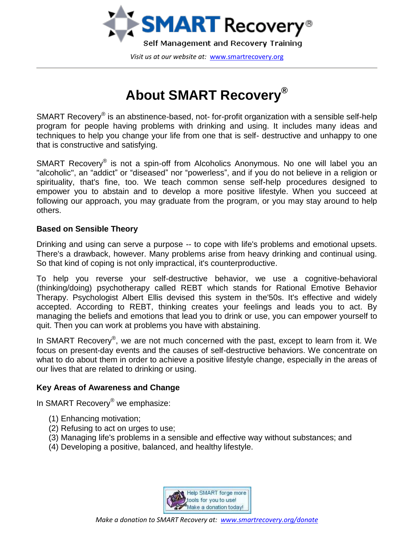

# **About SMART Recovery®**

SMART Recovery® is an abstinence-based, not- for-profit organization with a sensible self-help program for people having problems with drinking and using. It includes many ideas and techniques to help you change your life from one that is self- destructive and unhappy to one that is constructive and satisfying.

SMART Recovery® is not a spin-off from Alcoholics Anonymous. No one will label you an "alcoholic", an "addict" or "diseased" nor "powerless", and if you do not believe in a religion or spirituality, that's fine, too. We teach common sense self-help procedures designed to empower you to abstain and to develop a more positive lifestyle. When you succeed at following our approach, you may graduate from the program, or you may stay around to help others.

# **Based on Sensible Theory**

Drinking and using can serve a purpose -- to cope with life's problems and emotional upsets. There's a drawback, however. Many problems arise from heavy drinking and continual using. So that kind of coping is not only impractical, it's counterproductive.

To help you reverse your self-destructive behavior, we use a cognitive-behavioral (thinking/doing) psychotherapy called REBT which stands for Rational Emotive Behavior Therapy. Psychologist Albert Ellis devised this system in the'50s. It's effective and widely accepted. According to REBT, thinking creates your feelings and leads you to act. By managing the beliefs and emotions that lead you to drink or use, you can empower yourself to quit. Then you can work at problems you have with abstaining.

In SMART Recovery<sup>®</sup>, we are not much concerned with the past, except to learn from it. We focus on present-day events and the causes of self-destructive behaviors. We concentrate on what to do about them in order to achieve a positive lifestyle change, especially in the areas of our lives that are related to drinking or using.

# **Key Areas of Awareness and Change**

In SMART Recovery<sup>®</sup> we emphasize:

- (1) Enhancing motivation;
- (2) Refusing to act on urges to use;
- (3) Managing life's problems in a sensible and effective way without substances; and
- (4) Developing a positive, balanced, and healthy lifestyle.

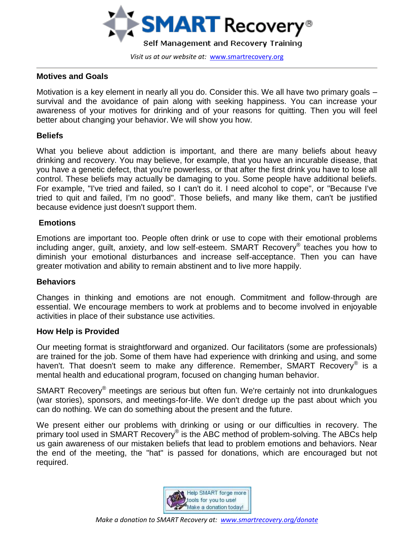

### **Motives and Goals**

Motivation is a key element in nearly all you do. Consider this. We all have two primary goals – survival and the avoidance of pain along with seeking happiness. You can increase your awareness of your motives for drinking and of your reasons for quitting. Then you will feel better about changing your behavior. We will show you how.

## **Beliefs**

What you believe about addiction is important, and there are many beliefs about heavy drinking and recovery. You may believe, for example, that you have an incurable disease, that you have a genetic defect, that you're powerless, or that after the first drink you have to lose all control. These beliefs may actually be damaging to you. Some people have additional beliefs. For example, "I've tried and failed, so I can't do it. I need alcohol to cope", or "Because I've tried to quit and failed, I'm no good". Those beliefs, and many like them, can't be justified because evidence just doesn't support them.

## **Emotions**

Emotions are important too. People often drink or use to cope with their emotional problems including anger, guilt, anxiety, and low self-esteem. SMART Recovery® teaches you how to diminish your emotional disturbances and increase self-acceptance. Then you can have greater motivation and ability to remain abstinent and to live more happily.

#### **Behaviors**

Changes in thinking and emotions are not enough. Commitment and follow-through are essential. We encourage members to work at problems and to become involved in enjoyable activities in place of their substance use activities.

#### **How Help is Provided**

Our meeting format is straightforward and organized. Our facilitators (some are professionals) are trained for the job. Some of them have had experience with drinking and using, and some haven't. That doesn't seem to make any difference. Remember, SMART Recovery<sup>®</sup> is a mental health and educational program, focused on changing human behavior.

SMART Recovery<sup>®</sup> meetings are serious but often fun. We're certainly not into drunkalogues (war stories), sponsors, and meetings-for-life. We don't dredge up the past about which you can do nothing. We can do something about the present and the future.

We present either our problems with drinking or using or our difficulties in recovery. The primary tool used in SMART Recovery® is the ABC method of problem-solving. The ABCs help us gain awareness of our mistaken beliefs that lead to problem emotions and behaviors. Near the end of the meeting, the "hat" is passed for donations, which are encouraged but not required.

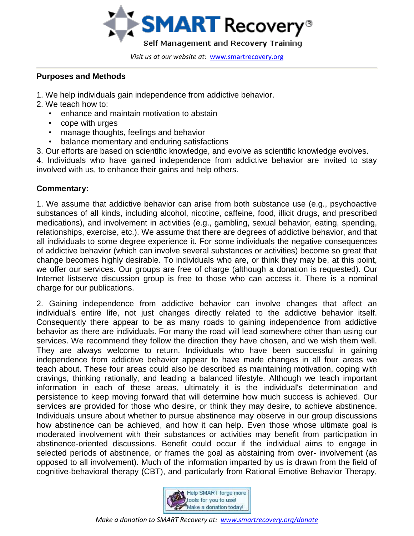

# **Purposes and Methods**

- 1. We help individuals gain independence from addictive behavior.
- 2. We teach how to:
	- enhance and maintain motivation to abstain
	- cope with urges
	- manage thoughts, feelings and behavior
	- balance momentary and enduring satisfactions
- 3. Our efforts are based on scientific knowledge, and evolve as scientific knowledge evolves.

4. Individuals who have gained independence from addictive behavior are invited to stay involved with us, to enhance their gains and help others.

# **Commentary:**

1. We assume that addictive behavior can arise from both substance use (e.g., psychoactive substances of all kinds, including alcohol, nicotine, caffeine, food, illicit drugs, and prescribed medications), and involvement in activities (e.g., gambling, sexual behavior, eating, spending, relationships, exercise, etc.). We assume that there are degrees of addictive behavior, and that all individuals to some degree experience it. For some individuals the negative consequences of addictive behavior (which can involve several substances or activities) become so great that change becomes highly desirable. To individuals who are, or think they may be, at this point, we offer our services. Our groups are free of charge (although a donation is requested). Our Internet listserve discussion group is free to those who can access it. There is a nominal charge for our publications.

2. Gaining independence from addictive behavior can involve changes that affect an individual's entire life, not just changes directly related to the addictive behavior itself. Consequently there appear to be as many roads to gaining independence from addictive behavior as there are individuals. For many the road will lead somewhere other than using our services. We recommend they follow the direction they have chosen, and we wish them well. They are always welcome to return. Individuals who have been successful in gaining independence from addictive behavior appear to have made changes in all four areas we teach about. These four areas could also be described as maintaining motivation, coping with cravings, thinking rationally, and leading a balanced lifestyle. Although we teach important information in each of these areas, ultimately it is the individual's determination and persistence to keep moving forward that will determine how much success is achieved. Our services are provided for those who desire, or think they may desire, to achieve abstinence. Individuals unsure about whether to pursue abstinence may observe in our group discussions how abstinence can be achieved, and how it can help. Even those whose ultimate goal is moderated involvement with their substances or activities may benefit from participation in abstinence-oriented discussions. Benefit could occur if the individual aims to engage in selected periods of abstinence, or frames the goal as abstaining from over- involvement (as opposed to all involvement). Much of the information imparted by us is drawn from the field of cognitive-behavioral therapy (CBT), and particularly from Rational Emotive Behavior Therapy,

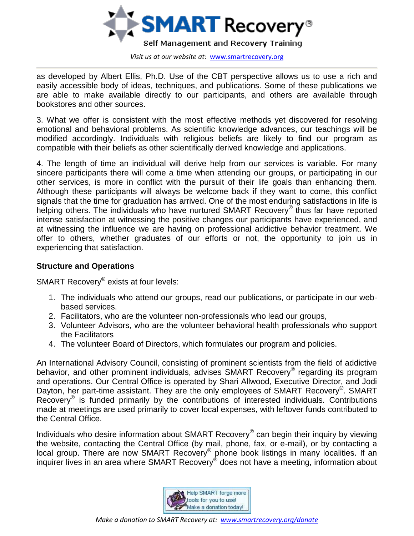

as developed by Albert Ellis, Ph.D. Use of the CBT perspective allows us to use a rich and easily accessible body of ideas, techniques, and publications. Some of these publications we are able to make available directly to our participants, and others are available through bookstores and other sources.

3. What we offer is consistent with the most effective methods yet discovered for resolving emotional and behavioral problems. As scientific knowledge advances, our teachings will be modified accordingly. Individuals with religious beliefs are likely to find our program as compatible with their beliefs as other scientifically derived knowledge and applications.

4. The length of time an individual will derive help from our services is variable. For many sincere participants there will come a time when attending our groups, or participating in our other services, is more in conflict with the pursuit of their life goals than enhancing them. Although these participants will always be welcome back if they want to come, this conflict signals that the time for graduation has arrived. One of the most enduring satisfactions in life is helping others. The individuals who have nurtured SMART Recovery® thus far have reported intense satisfaction at witnessing the positive changes our participants have experienced, and at witnessing the influence we are having on professional addictive behavior treatment. We offer to others, whether graduates of our efforts or not, the opportunity to join us in experiencing that satisfaction.

## **Structure and Operations**

SMART Recovery® exists at four levels:

- 1. The individuals who attend our groups, read our publications, or participate in our webbased services.
- 2. Facilitators, who are the volunteer non-professionals who lead our groups,
- 3. Volunteer Advisors, who are the volunteer behavioral health professionals who support the Facilitators
- 4. The volunteer Board of Directors, which formulates our program and policies.

An International Advisory Council, consisting of prominent scientists from the field of addictive behavior, and other prominent individuals, advises SMART Recovery® regarding its program and operations. Our Central Office is operated by Shari Allwood, Executive Director, and Jodi Dayton, her part-time assistant. They are the only employees of SMART Recovery®. SMART Recovery<sup>®</sup> is funded primarily by the contributions of interested individuals. Contributions made at meetings are used primarily to cover local expenses, with leftover funds contributed to the Central Office.

Individuals who desire information about SMART Recovery® can begin their inquiry by viewing the website, contacting the Central Office (by mail, phone, fax, or e-mail), or by contacting a local group. There are now SMART Recovery® phone book listings in many localities. If an inquirer lives in an area where SMART Recovery® does not have a meeting, information about